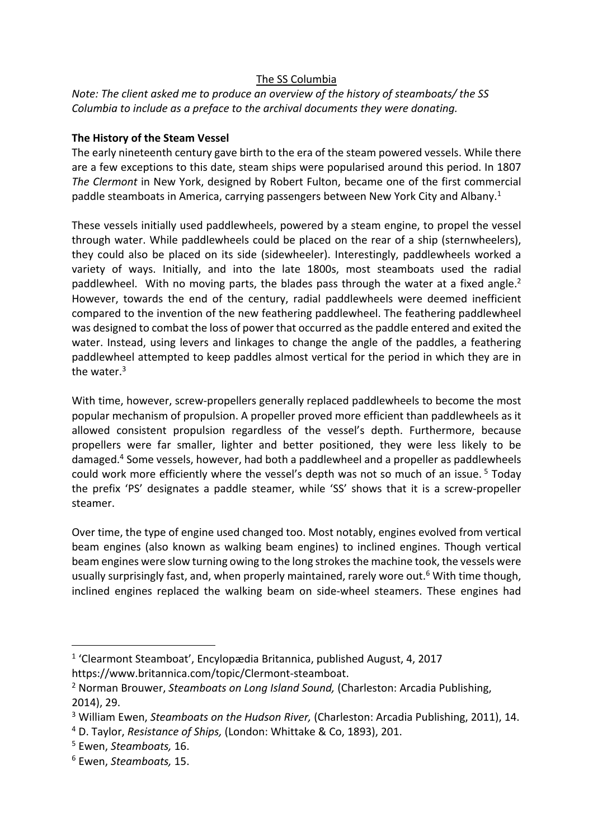### The SS Columbia

# *Note: The client asked me to produce an overview of the history of steamboats/ the SS Columbia to include as a preface to the archival documents they were donating.*

### **The History of the Steam Vessel**

The early nineteenth century gave birth to the era of the steam powered vessels. While there are a few exceptions to this date, steam ships were popularised around this period. In 1807 *The Clermont* in New York, designed by Robert Fulton, became one of the first commercial paddle steamboats in America, carrying passengers between New York City and Albany.<sup>1</sup>

These vessels initially used paddlewheels, powered by a steam engine, to propel the vessel through water. While paddlewheels could be placed on the rear of a ship (sternwheelers), they could also be placed on its side (sidewheeler). Interestingly, paddlewheels worked a variety of ways. Initially, and into the late 1800s, most steamboats used the radial paddlewheel. With no moving parts, the blades pass through the water at a fixed angle. $^2$ However, towards the end of the century, radial paddlewheels were deemed inefficient compared to the invention of the new feathering paddlewheel. The feathering paddlewheel was designed to combat the loss of power that occurred as the paddle entered and exited the water. Instead, using levers and linkages to change the angle of the paddles, a feathering paddlewheel attempted to keep paddles almost vertical for the period in which they are in the water.<sup>3</sup>

With time, however, screw-propellers generally replaced paddlewheels to become the most popular mechanism of propulsion. A propeller proved more efficient than paddlewheels as it allowed consistent propulsion regardless of the vessel's depth. Furthermore, because propellers were far smaller, lighter and better positioned, they were less likely to be damaged.4 Some vessels, however, had both a paddlewheel and a propeller as paddlewheels could work more efficiently where the vessel's depth was not so much of an issue.<sup>5</sup> Today the prefix 'PS' designates a paddle steamer, while 'SS' shows that it is a screw-propeller steamer.

Over time, the type of engine used changed too. Most notably, engines evolved from vertical beam engines (also known as walking beam engines) to inclined engines. Though vertical beam engines were slow turning owing to the long strokes the machine took, the vessels were usually surprisingly fast, and, when properly maintained, rarely wore out.<sup>6</sup> With time though, inclined engines replaced the walking beam on side-wheel steamers. These engines had

<sup>1</sup> 'Clearmont Steamboat', Encylopædia Britannica, published August, 4, 2017

https://www.britannica.com/topic/Clermont-steamboat. 2 Norman Brouwer, *Steamboats on Long Island Sound,* (Charleston: Arcadia Publishing, 2014), 29.

<sup>3</sup> William Ewen, *Steamboats on the Hudson River,* (Charleston: Arcadia Publishing, 2011), 14.

<sup>4</sup> D. Taylor, *Resistance of Ships,* (London: Whittake & Co, 1893), 201.

<sup>5</sup> Ewen, *Steamboats,* 16.

<sup>6</sup> Ewen, *Steamboats,* 15.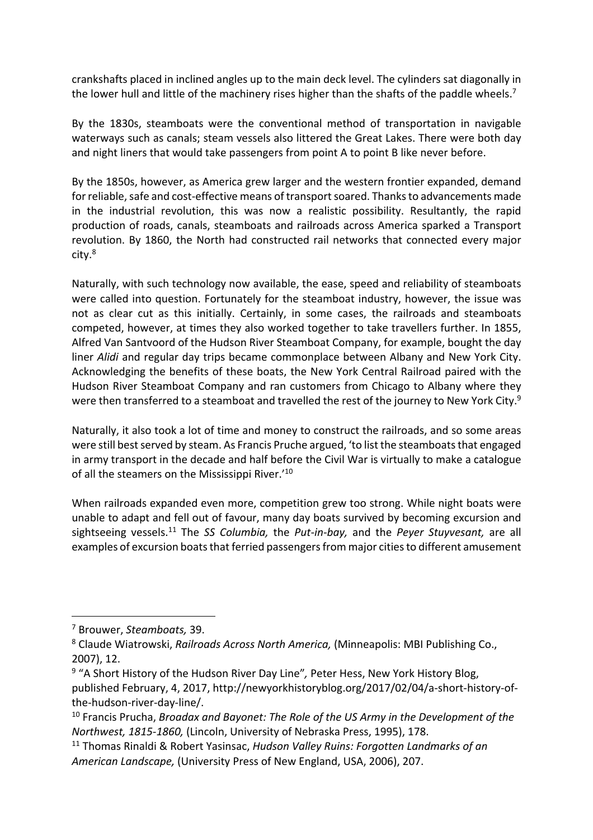crankshafts placed in inclined angles up to the main deck level. The cylinders sat diagonally in the lower hull and little of the machinery rises higher than the shafts of the paddle wheels.<sup>7</sup>

By the 1830s, steamboats were the conventional method of transportation in navigable waterways such as canals; steam vessels also littered the Great Lakes. There were both day and night liners that would take passengers from point A to point B like never before.

By the 1850s, however, as America grew larger and the western frontier expanded, demand for reliable, safe and cost-effective means of transport soared. Thanks to advancements made in the industrial revolution, this was now a realistic possibility. Resultantly, the rapid production of roads, canals, steamboats and railroads across America sparked a Transport revolution. By 1860, the North had constructed rail networks that connected every major city.8

Naturally, with such technology now available, the ease, speed and reliability of steamboats were called into question. Fortunately for the steamboat industry, however, the issue was not as clear cut as this initially. Certainly, in some cases, the railroads and steamboats competed, however, at times they also worked together to take travellers further. In 1855, Alfred Van Santvoord of the Hudson River Steamboat Company, for example, bought the day liner *Alidi* and regular day trips became commonplace between Albany and New York City. Acknowledging the benefits of these boats, the New York Central Railroad paired with the Hudson River Steamboat Company and ran customers from Chicago to Albany where they were then transferred to a steamboat and travelled the rest of the journey to New York City.<sup>9</sup>

Naturally, it also took a lot of time and money to construct the railroads, and so some areas were still best served by steam. As Francis Pruche argued, 'to list the steamboats that engaged in army transport in the decade and half before the Civil War is virtually to make a catalogue of all the steamers on the Mississippi River.<sup>'10</sup>

When railroads expanded even more, competition grew too strong. While night boats were unable to adapt and fell out of favour, many day boats survived by becoming excursion and sightseeing vessels.11 The *SS Columbia,* the *Put-in-bay,* and the *Peyer Stuyvesant,* are all examples of excursion boats that ferried passengers from major cities to different amusement

<sup>7</sup> Brouwer, *Steamboats,* 39.

<sup>8</sup> Claude Wiatrowski, *Railroads Across North America,* (Minneapolis: MBI Publishing Co., 2007), 12.

<sup>9</sup> "A Short History of the Hudson River Day Line"*,* Peter Hess, New York History Blog, published February, 4, 2017, http://newyorkhistoryblog.org/2017/02/04/a-short-history-ofthe-hudson-river-day-line/.<br><sup>10</sup> Francis Prucha, *Broadax and Bayonet: The Role of the US Army in the Development of the* 

*Northwest, 1815-1860,* (Lincoln, University of Nebraska Press, 1995), 178.

<sup>11</sup> Thomas Rinaldi & Robert Yasinsac, *Hudson Valley Ruins: Forgotten Landmarks of an American Landscape,* (University Press of New England, USA, 2006), 207.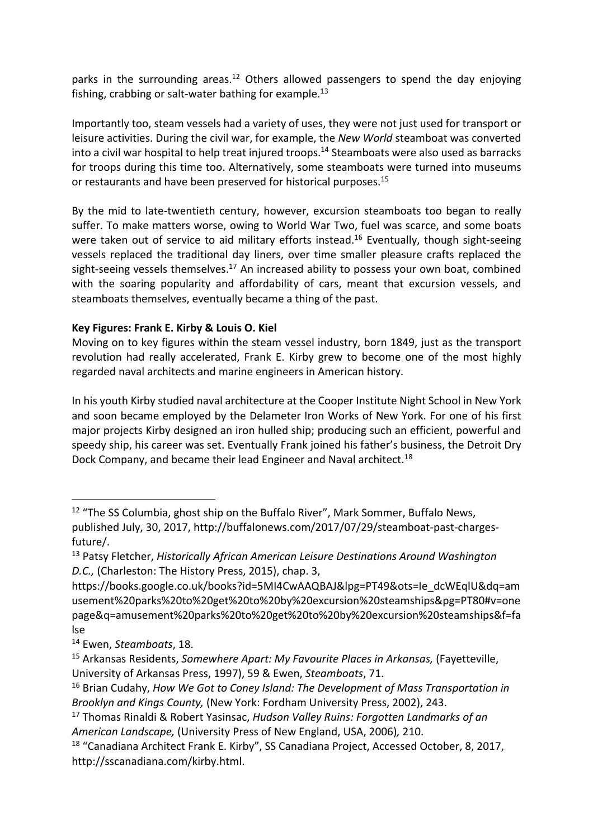parks in the surrounding areas.<sup>12</sup> Others allowed passengers to spend the day enjoying fishing, crabbing or salt-water bathing for example.<sup>13</sup>

Importantly too, steam vessels had a variety of uses, they were not just used for transport or leisure activities. During the civil war, for example, the *New World* steamboat was converted into a civil war hospital to help treat injured troops.<sup>14</sup> Steamboats were also used as barracks for troops during this time too. Alternatively, some steamboats were turned into museums or restaurants and have been preserved for historical purposes.15

By the mid to late-twentieth century, however, excursion steamboats too began to really suffer. To make matters worse, owing to World War Two, fuel was scarce, and some boats were taken out of service to aid military efforts instead.<sup>16</sup> Eventually, though sight-seeing vessels replaced the traditional day liners, over time smaller pleasure crafts replaced the sight-seeing vessels themselves. $17$  An increased ability to possess your own boat, combined with the soaring popularity and affordability of cars, meant that excursion vessels, and steamboats themselves, eventually became a thing of the past.

# **Key Figures: Frank E. Kirby & Louis O. Kiel**

Moving on to key figures within the steam vessel industry, born 1849, just as the transport revolution had really accelerated, Frank E. Kirby grew to become one of the most highly regarded naval architects and marine engineers in American history.

In his youth Kirby studied naval architecture at the Cooper Institute Night School in New York and soon became employed by the Delameter Iron Works of New York. For one of his first major projects Kirby designed an iron hulled ship; producing such an efficient, powerful and speedy ship, his career was set. Eventually Frank joined his father's business, the Detroit Dry Dock Company, and became their lead Engineer and Naval architect.<sup>18</sup>

<sup>&</sup>lt;sup>12</sup> "The SS Columbia, ghost ship on the Buffalo River", Mark Sommer, Buffalo News, published July, 30, 2017, http://buffalonews.com/2017/07/29/steamboat-past-chargesfuture/. 13 Patsy Fletcher, *Historically African American Leisure Destinations Around Washington*

*D.C.,* (Charleston: The History Press, 2015), chap. 3,

https://books.google.co.uk/books?id=5MI4CwAAQBAJ&lpg=PT49&ots=Ie\_dcWEqlU&dq=am usement%20parks%20to%20get%20to%20by%20excursion%20steamships&pg=PT80#v=one page&q=amusement%20parks%20to%20get%20to%20by%20excursion%20steamships&f=fa lse

<sup>14</sup> Ewen, *Steamboats*, 18.

<sup>15</sup> Arkansas Residents, *Somewhere Apart: My Favourite Places in Arkansas,* (Fayetteville, University of Arkansas Press, 1997), 59 & Ewen, *Steamboats*, 71.

<sup>16</sup> Brian Cudahy, *How We Got to Coney Island: The Development of Mass Transportation in Brooklyn and Kings County,* (New York: Fordham University Press, 2002), 243.

<sup>17</sup> Thomas Rinaldi & Robert Yasinsac, *Hudson Valley Ruins: Forgotten Landmarks of an American Landscape,* (University Press of New England, USA, 2006)*,* 210.

<sup>&</sup>lt;sup>18</sup> "Canadiana Architect Frank E. Kirby", SS Canadiana Project, Accessed October, 8, 2017, http://sscanadiana.com/kirby.html.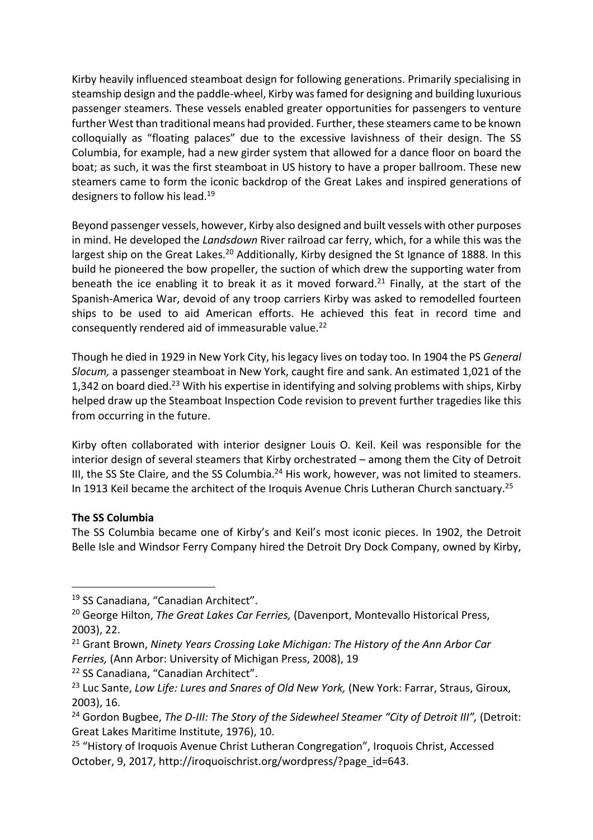Kirby heavily influenced steamboat design for following generations. Primarily specialising in steamship design and the paddle-wheel, Kirby was famed for designing and building luxurious passenger steamers. These vessels enabled greater opportunities for passengers to venture further West than traditional means had provided. Further, these steamers came to be known colloquially as "floating palaces" due to the excessive lavishness of their design. The SS Columbia, for example, had a new girder system that allowed for a dance floor on board the boat; as such, it was the first steamboat in US history to have a proper ballroom. These new steamers came to form the iconic backdrop of the Great Lakes and inspired generations of designers to follow his lead.19

Beyond passenger vessels, however, Kirby also designed and built vessels with other purposes in mind. He developed the *Landsdown* River railroad car ferry, which, for a while this was the largest ship on the Great Lakes.<sup>20</sup> Additionally, Kirby designed the St Ignance of 1888. In this build he pioneered the bow propeller, the suction of which drew the supporting water from beneath the ice enabling it to break it as it moved forward.<sup>21</sup> Finally, at the start of the Spanish-America War, devoid of any troop carriers Kirby was asked to remodelled fourteen ships to be used to aid American efforts. He achieved this feat in record time and consequently rendered aid of immeasurable value.<sup>22</sup>

Though he died in 1929 in New York City, his legacy lives on today too. In 1904 the PS *General Slocum,* a passenger steamboat in New York, caught fire and sank. An estimated 1,021 of the 1,342 on board died.<sup>23</sup> With his expertise in identifying and solving problems with ships, Kirby helped draw up the Steamboat Inspection Code revision to prevent further tragedies like this from occurring in the future.

Kirby often collaborated with interior designer Louis O. Keil. Keil was responsible for the interior design of several steamers that Kirby orchestrated – among them the City of Detroit III, the SS Ste Claire, and the SS Columbia. $^{24}$  His work, however, was not limited to steamers. In 1913 Keil became the architect of the Iroquis Avenue Chris Lutheran Church sanctuary.<sup>25</sup>

# **The SS Columbia**

The SS Columbia became one of Kirby's and Keil's most iconic pieces. In 1902, the Detroit Belle Isle and Windsor Ferry Company hired the Detroit Dry Dock Company, owned by Kirby,

<sup>21</sup> Grant Brown, *Ninety Years Crossing Lake Michigan: The History of the Ann Arbor Car Ferries,* (Ann Arbor: University of Michigan Press, 2008), 19

<sup>22</sup> SS Canadiana, "Canadian Architect".

<sup>19</sup> SS Canadiana, "Canadian Architect".

<sup>20</sup> George Hilton, *The Great Lakes Car Ferries,* (Davenport, Montevallo Historical Press, 2003), 22.

<sup>&</sup>lt;sup>23</sup> Luc Sante, *Low Life: Lures and Snares of Old New York*, (New York: Farrar, Straus, Giroux, 2003), 16.

<sup>&</sup>lt;sup>24</sup> Gordon Bugbee, *The D-III: The Story of the Sidewheel Steamer "City of Detroit III"*, (Detroit: Great Lakes Maritime Institute, 1976), 10.

<sup>&</sup>lt;sup>25</sup> "History of Iroquois Avenue Christ Lutheran Congregation", Iroquois Christ, Accessed October, 9, 2017, http://iroquoischrist.org/wordpress/?page\_id=643.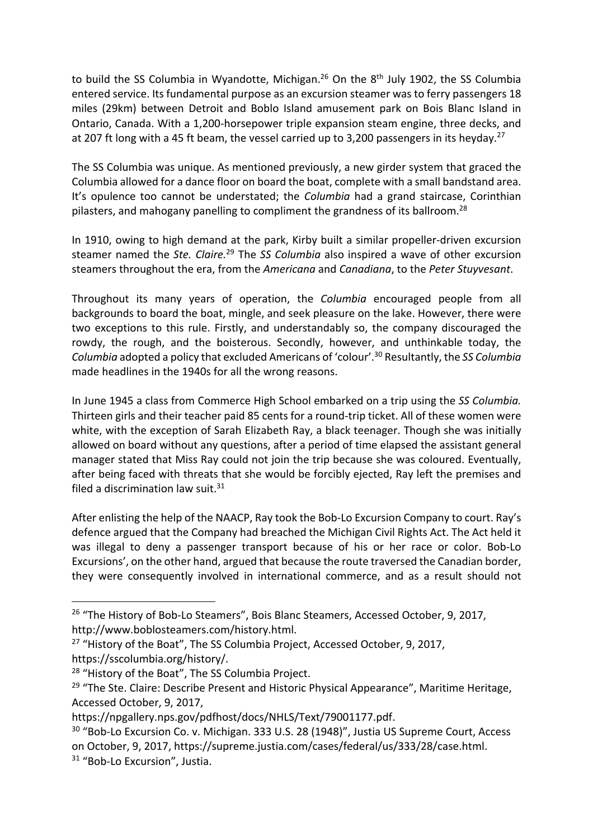to build the SS Columbia in Wyandotte, Michigan.<sup>26</sup> On the  $8<sup>th</sup>$  July 1902, the SS Columbia entered service. Its fundamental purpose as an excursion steamer was to ferry passengers 18 miles (29km) between Detroit and Boblo Island amusement park on Bois Blanc Island in Ontario, Canada. With a 1,200-horsepower triple expansion steam engine, three decks, and at 207 ft long with a 45 ft beam, the vessel carried up to 3,200 passengers in its heyday.<sup>27</sup>

The SS Columbia was unique. As mentioned previously, a new girder system that graced the Columbia allowed for a dance floor on board the boat, complete with a small bandstand area. It's opulence too cannot be understated; the *Columbia* had a grand staircase, Corinthian pilasters, and mahogany panelling to compliment the grandness of its ballroom.<sup>28</sup>

In 1910, owing to high demand at the park, Kirby built a similar propeller-driven excursion steamer named the *Ste. Claire.* <sup>29</sup> The *SS Columbia* also inspired a wave of other excursion steamers throughout the era, from the *Americana* and *Canadiana*, to the *Peter Stuyvesant*.

Throughout its many years of operation, the *Columbia* encouraged people from all backgrounds to board the boat, mingle, and seek pleasure on the lake. However, there were two exceptions to this rule. Firstly, and understandably so, the company discouraged the rowdy, the rough, and the boisterous. Secondly, however, and unthinkable today, the *Columbia* adopted a policy that excluded Americans of 'colour'. <sup>30</sup> Resultantly, the *SS Columbia*  made headlines in the 1940s for all the wrong reasons.

In June 1945 a class from Commerce High School embarked on a trip using the *SS Columbia.*  Thirteen girls and their teacher paid 85 cents for a round-trip ticket. All of these women were white, with the exception of Sarah Elizabeth Ray, a black teenager. Though she was initially allowed on board without any questions, after a period of time elapsed the assistant general manager stated that Miss Ray could not join the trip because she was coloured. Eventually, after being faced with threats that she would be forcibly ejected, Ray left the premises and filed a discrimination law suit. $31$ 

After enlisting the help of the NAACP, Ray took the Bob-Lo Excursion Company to court. Ray's defence argued that the Company had breached the Michigan Civil Rights Act. The Act held it was illegal to deny a passenger transport because of his or her race or color. Bob-Lo Excursions', on the other hand, argued that because the route traversed the Canadian border, they were consequently involved in international commerce, and as a result should not

<sup>&</sup>lt;sup>26</sup> "The History of Bob-Lo Steamers", Bois Blanc Steamers, Accessed October, 9, 2017,

http://www.boblosteamers.com/history.html.<br><sup>27</sup> "History of the Boat", The SS Columbia Project, Accessed October, 9, 2017,

https://sscolumbia.org/history/.<br><sup>28</sup> "History of the Boat", The SS Columbia Project.

<sup>&</sup>lt;sup>29</sup> "The Ste. Claire: Describe Present and Historic Physical Appearance", Maritime Heritage, Accessed October, 9, 2017,

https://npgallery.nps.gov/pdfhost/docs/NHLS/Text/79001177.pdf.<br><sup>30</sup> "Bob-Lo Excursion Co. v. Michigan. 333 U.S. 28 (1948)", Justia US Supreme Court, Access on October, 9, 2017, https://supreme.justia.com/cases/federal/us/333/28/case.html.<br><sup>31</sup> "Bob-Lo Excursion", Justia.